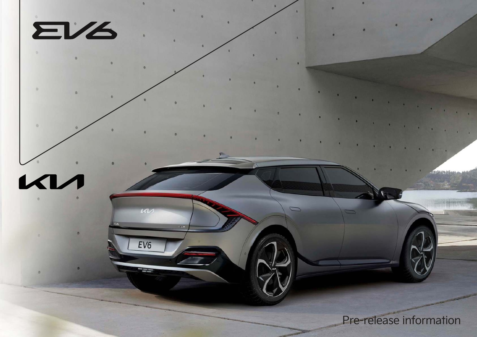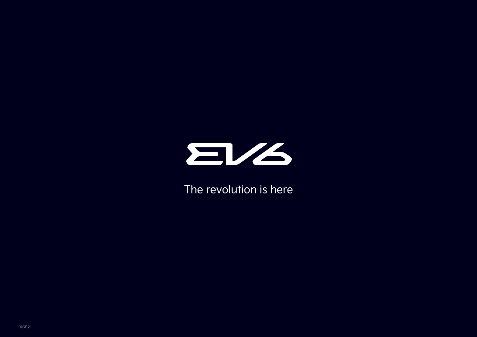

The revolution is here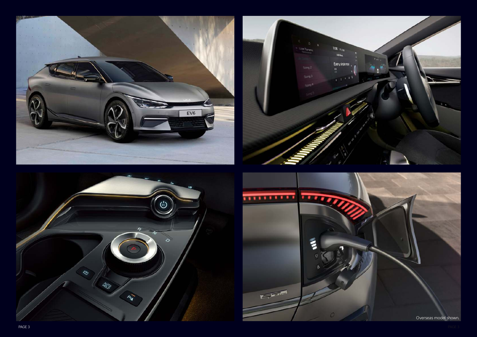





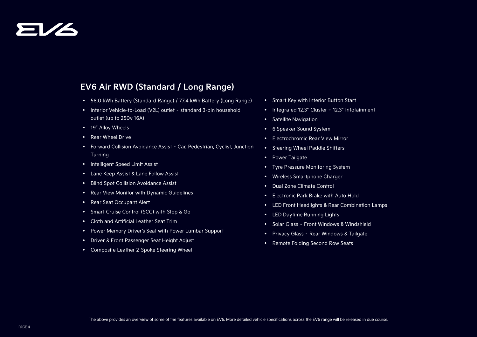# EV6

### **EV6 Air RWD (Standard / Long Range)**

- 58.0 kWh Battery (Standard Range) / 77.4 kWh Battery (Long Range)
- Interior Vehicle-to-Load (V2L) outlet standard 3-pin household outlet (up to 250v 16A)
- 19" Alloy Wheels
- Rear Wheel Drive
- Forward Collision Avoidance Assist Car, Pedestrian, Cyclist, Junction Turning
- Intelligent Speed Limit Assist
- Lane Keep Assist & Lane Follow Assist
- Blind Spot Collision Avoidance Assist
- Rear View Monitor with Dynamic Guidelines
- Rear Seat Occupant Alert
- Smart Cruise Control (SCC) with Stop & Go
- Cloth and Artificial Leather Seat Trim
- Power Memory Driver's Seat with Power Lumbar Support
- Driver & Front Passenger Seat Height Adjust
- Composite Leather 2-Spoke Steering Wheel
- Smart Key with Interior Button Start
- Integrated 12.3" Cluster + 12.3" Infotainment
- Satellite Navigation
- 6 Speaker Sound System
- Electrochromic Rear View Mirror
- Steering Wheel Paddle Shifters
- Power Tailgate
- Tyre Pressure Monitoring System
- Wireless Smartphone Charger
- Dual Zone Climate Control
- Electronic Park Brake with Auto Hold
- LED Front Headlights & Rear Combination Lamps
- LED Daytime Running Lights
- Solar Glass Front Windows & Windshield
- Privacy Glass Rear Windows & Tailgate
- Remote Folding Second Row Seats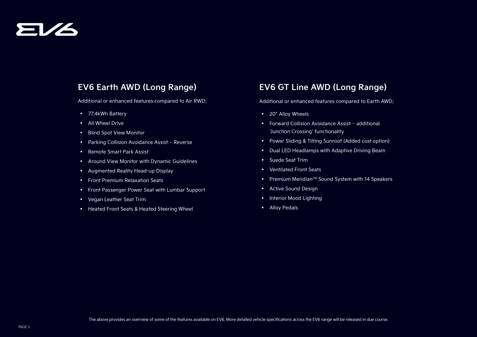## EV6

### **EV6 Earth AWD (Long Range)**

Additional or enhanced features compared to Air RWD;

- 77.4kWh Battery
- All Wheel Drive
- Blind Spot View Monitor
- Parking Collision Avoidance Assist Reverse
- Remote Smart Park Assist
- Around View Monitor with Dynamic Guidelines
- Augmented Reality Head-up Display
- Front Premium Relaxation Seats
- Front Passenger Power Seat with Lumbar Support
- Vegan Leather Seat Trim
- Heated Front Seats & Heated Steering Wheel

### **EV6 GT Line AWD (Long Range)**

Additional or enhanced features compared to Earth AWD;

- 20" Alloy Wheels
- Forward Collision Avoidance Assist additional 'Junction Crossing' functionality
- Power Sliding & Tilting Sunroof (Added cost option)
- Dual LED Headlamps with Adaptive Driving Beam
- Suede Seat Trim
- Ventilated Front Seats
- Premium MeridianTM Sound System with 14 Speakers
- Active Sound Design
- Interior Mood Lighting
- Alloy Pedals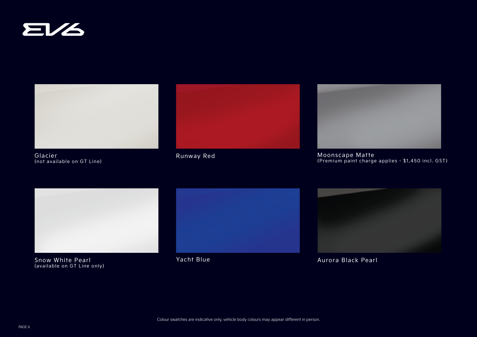



Glacier (not available on GT Line)





Runway Red Moonscape Matte (Premium paint charge applies - \$1,450 incl. GST)



Snow White Pearl **Yacht Blue** (available on GT Line only)





Aurora Black Pearl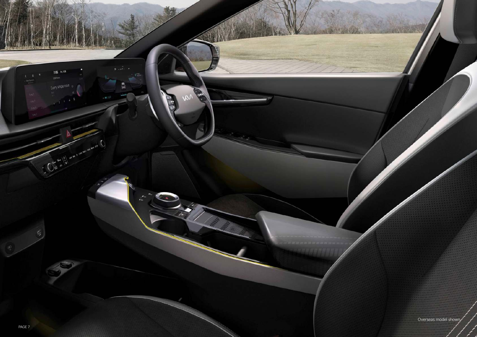